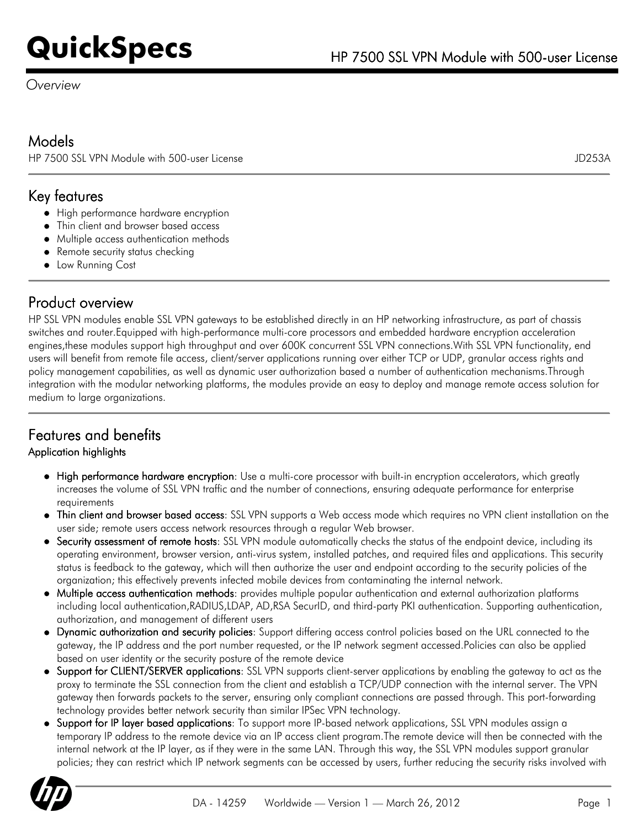*Overview*

### Models

HP 7500 SSL VPN Module with 500-user License JD253A

### Key features

- High performance hardware encryption
- Thin client and browser based access
- Multiple access authentication methods
- Remote security status checking
- **•** Low Running Cost

### Product overview

HP SSL VPN modules enable SSL VPN gateways to be established directly in an HP networking infrastructure, as part of chassis switches and router.Equipped with high-performance multi-core processors and embedded hardware encryption acceleration engines,these modules support high throughput and over 600K concurrent SSL VPN connections.With SSL VPN functionality, end users will benefit from remote file access, client/server applications running over either TCP or UDP, granular access rights and policy management capabilities, as well as dynamic user authorization based a number of authentication mechanisms.Through integration with the modular networking platforms, the modules provide an easy to deploy and manage remote access solution for medium to large organizations.

## Features and benefits

#### Application highlights

- High performance hardware encryption: Use a multi-core processor with built-in encryption accelerators, which greatly increases the volume of SSL VPN traffic and the number of connections, ensuring adequate performance for enterprise requirements
- Thin client and browser based access: SSL VPN supports a Web access mode which requires no VPN client installation on the user side; remote users access network resources through a regular Web browser.
- Security assessment of remote hosts: SSL VPN module automatically checks the status of the endpoint device, including its operating environment, browser version, anti-virus system, installed patches, and required files and applications. This security status is feedback to the gateway, which will then authorize the user and endpoint according to the security policies of the organization; this effectively prevents infected mobile devices from contaminating the internal network.
- Multiple access authentication methods: provides multiple popular authentication and external authorization platforms including local authentication,RADIUS,LDAP, AD,RSA SecurID, and third-party PKI authentication. Supporting authentication, authorization, and management of different users
- Dynamic authorization and security policies: Support differing access control policies based on the URL connected to the gateway, the IP address and the port number requested, or the IP network segment accessed.Policies can also be applied based on user identity or the security posture of the remote device
- Support for CLIENT/SERVER applications: SSL VPN supports client-server applications by enabling the gateway to act as the proxy to terminate the SSL connection from the client and establish a TCP/UDP connection with the internal server. The VPN gateway then forwards packets to the server, ensuring only compliant connections are passed through. This port-forwarding technology provides better network security than similar IPSec VPN technology.
- Support for IP layer based applications: To support more IP-based network applications, SSL VPN modules assign a temporary IP address to the remote device via an IP access client program.The remote device will then be connected with the internal network at the IP layer, as if they were in the same LAN. Through this way, the SSL VPN modules support granular policies; they can restrict which IP network segments can be accessed by users, further reducing the security risks involved with

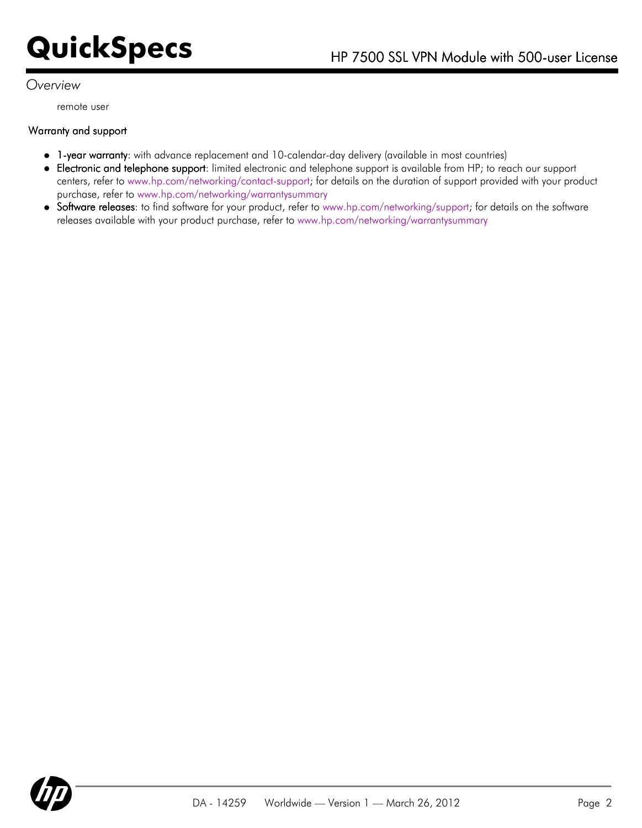#### *Overview*

remote user

#### Warranty and support

- 1-year warranty: with advance replacement and 10-calendar-day delivery (available in most countries)
- Electronic and telephone support: limited electronic and telephone support is available from HP; to reach our support centers, refer to [www.hp.com/networking/contact-support;](http://www.hp.com/networking/contact-support) for details on the duration of support provided with your product purchase, refer to [www.hp.com/networking/warrantysummary](http://www.hp.com/networking/warrantysummary)
- Software releases: to find software for your product, refer to [www.hp.com/networking/support;](http;//www.hp.com/networking/support) for details on the software releases available with your product purchase, refer to [www.hp.com/networking/warrantysummary](http://www.hp.com/networking/warrantysummary)

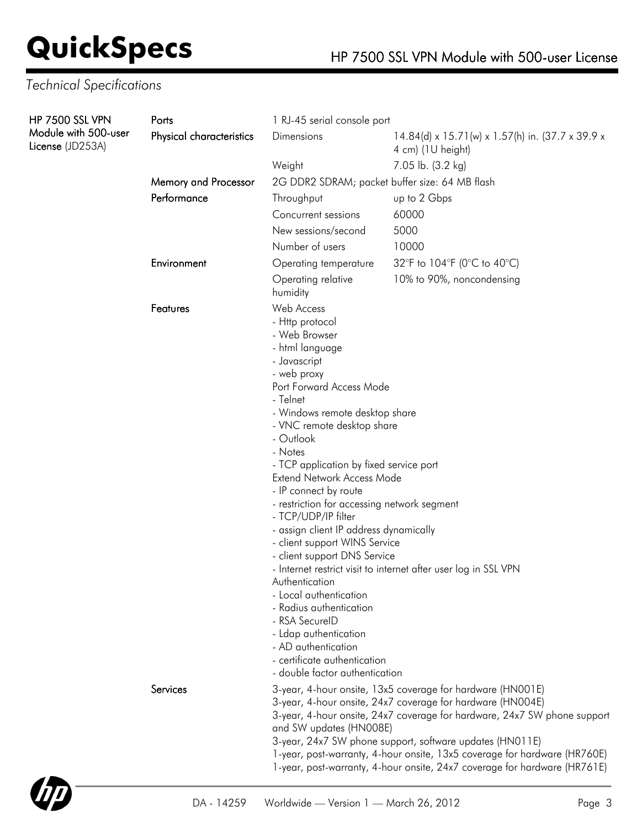## *Technical Specifications*

| <b>HP 7500 SSL VPN</b>                   | Ports                       | 1 RJ-45 serial console port                                                                                                                                                                                                                                                                                                                                                                                                                                                                                                                                                                                                                                                                                                    |                                                                       |  |
|------------------------------------------|-----------------------------|--------------------------------------------------------------------------------------------------------------------------------------------------------------------------------------------------------------------------------------------------------------------------------------------------------------------------------------------------------------------------------------------------------------------------------------------------------------------------------------------------------------------------------------------------------------------------------------------------------------------------------------------------------------------------------------------------------------------------------|-----------------------------------------------------------------------|--|
| Module with 500-user<br>License (JD253A) | Physical characteristics    | Dimensions                                                                                                                                                                                                                                                                                                                                                                                                                                                                                                                                                                                                                                                                                                                     | 14.84(d) x 15.71(w) x 1.57(h) in. (37.7 x 39.9 x<br>4 cm) (1U height) |  |
|                                          |                             | Weight                                                                                                                                                                                                                                                                                                                                                                                                                                                                                                                                                                                                                                                                                                                         | 7.05 lb. (3.2 kg)                                                     |  |
|                                          | <b>Memory and Processor</b> | 2G DDR2 SDRAM; packet buffer size: 64 MB flash                                                                                                                                                                                                                                                                                                                                                                                                                                                                                                                                                                                                                                                                                 |                                                                       |  |
|                                          | Performance                 | Throughput                                                                                                                                                                                                                                                                                                                                                                                                                                                                                                                                                                                                                                                                                                                     | up to 2 Gbps                                                          |  |
|                                          |                             | Concurrent sessions                                                                                                                                                                                                                                                                                                                                                                                                                                                                                                                                                                                                                                                                                                            | 60000                                                                 |  |
|                                          |                             | New sessions/second                                                                                                                                                                                                                                                                                                                                                                                                                                                                                                                                                                                                                                                                                                            | 5000                                                                  |  |
|                                          |                             | Number of users                                                                                                                                                                                                                                                                                                                                                                                                                                                                                                                                                                                                                                                                                                                | 10000                                                                 |  |
|                                          | Environment                 | Operating temperature                                                                                                                                                                                                                                                                                                                                                                                                                                                                                                                                                                                                                                                                                                          | 32°F to 104°F (0°C to 40°C)                                           |  |
|                                          |                             | Operating relative<br>humidity                                                                                                                                                                                                                                                                                                                                                                                                                                                                                                                                                                                                                                                                                                 | 10% to 90%, noncondensing                                             |  |
|                                          | Features                    | Web Access<br>- Http protocol<br>- Web Browser<br>- html language<br>- Javascript<br>- web proxy<br>Port Forward Access Mode<br>- Telnet<br>- Windows remote desktop share<br>- VNC remote desktop share<br>- Outlook<br>- Notes<br>- TCP application by fixed service port<br>Extend Network Access Mode<br>- IP connect by route<br>- restriction for accessing network segment<br>- TCP/UDP/IP filter<br>- assign client IP address dynamically<br>- client support WINS Service<br>- client support DNS Service<br>Authentication<br>- Local authentication<br>- Radius authentication<br>- RSA SecureID<br>- Ldap authentication<br>- AD authentication<br>- certificate authentication<br>- double factor authentication | - Internet restrict visit to internet after user log in SSL VPN       |  |
|                                          | Services                    | 3-year, 4-hour onsite, 13x5 coverage for hardware (HN001E)<br>3-year, 4-hour onsite, 24x7 coverage for hardware (HN004E)<br>3-year, 4-hour onsite, 24x7 coverage for hardware, 24x7 SW phone support<br>and SW updates (HN008E)<br>3-year, 24x7 SW phone support, software updates (HN011E)<br>1-year, post-warranty, 4-hour onsite, 13x5 coverage for hardware (HR760E)<br>1-year, post-warranty, 4-hour onsite, 24x7 coverage for hardware (HR761E)                                                                                                                                                                                                                                                                          |                                                                       |  |

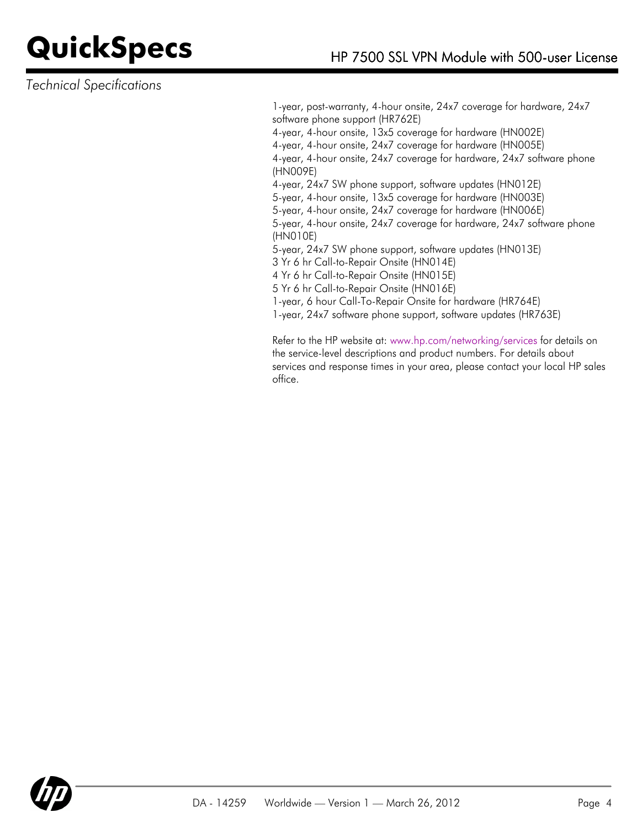### *Technical Specifications*

1-year, post-warranty, 4-hour onsite, 24x7 coverage for hardware, 24x7 software phone support (HR762E) 4-year, 4-hour onsite, 13x5 coverage for hardware (HN002E) 4-year, 4-hour onsite, 24x7 coverage for hardware (HN005E) 4-year, 4-hour onsite, 24x7 coverage for hardware, 24x7 software phone (HN009E) 4-year, 24x7 SW phone support, software updates (HN012E) 5-year, 4-hour onsite, 13x5 coverage for hardware (HN003E) 5-year, 4-hour onsite, 24x7 coverage for hardware (HN006E) 5-year, 4-hour onsite, 24x7 coverage for hardware, 24x7 software phone (HN010E) 5-year, 24x7 SW phone support, software updates (HN013E) 3 Yr 6 hr Call-to-Repair Onsite (HN014E) 4 Yr 6 hr Call-to-Repair Onsite (HN015E) 5 Yr 6 hr Call-to-Repair Onsite (HN016E) 1-year, 6 hour Call-To-Repair Onsite for hardware (HR764E)

1-year, 24x7 software phone support, software updates (HR763E)

Refer to the HP website at: [www.hp.com/networking/services](http://www.hp.com/networking/services) for details on the service-level descriptions and product numbers. For details about services and response times in your area, please contact your local HP sales office.